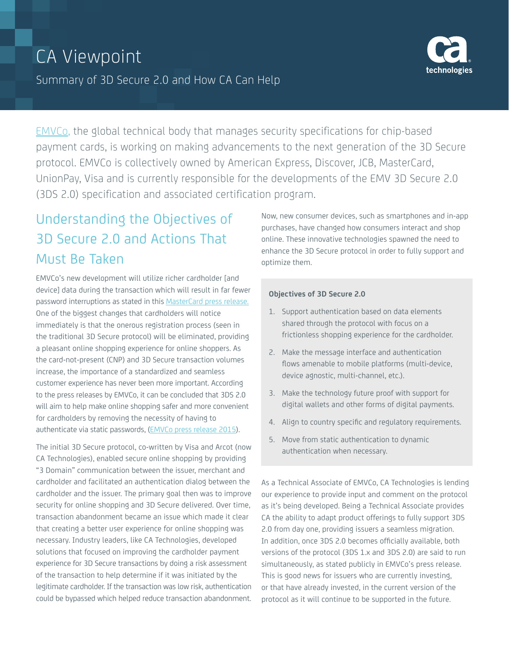

[EMVCo,](http://www.emvco.com/about_emvco.aspx) the global technical body that manages security specifications for chip-based payment cards, is working on making advancements to the next generation of the 3D Secure protocol. EMVCo is collectively owned by American Express, Discover, JCB, MasterCard, UnionPay, Visa and is currently responsible for the developments of the EMV 3D Secure 2.0 (3DS 2.0) specification and associated certification program.

# Understanding the Objectives of 3D Secure 2.0 and Actions That Must Be Taken

EMVCo's new development will utilize richer cardholder [and device] data during the transaction which will result in far fewer password interruptions as stated in this [MasterCard press release.](http://newsroom.mastercard.com/press-releases/mastercard-outlines-plans-end-use-passwords-online-payments/) One of the biggest changes that cardholders will notice immediately is that the onerous registration process (seen in the traditional 3D Secure protocol) will be eliminated, providing a pleasant online shopping experience for online shoppers. As the card-not-present (CNP) and 3D Secure transaction volumes increase, the importance of a standardized and seamless customer experience has never been more important. According to the press releases by EMVCo, it can be concluded that 3DS 2.0 will aim to help make online shopping safer and more convenient for cardholders by removing the necessity of having to authenticate via static passwords, ([EMVCo press release 2015](https://www.emvco.com/media_center.aspx?id=48)).

The initial 3D Secure protocol, co-written by Visa and Arcot (now CA Technologies), enabled secure online shopping by providing "3 Domain" communication between the issuer, merchant and cardholder and facilitated an authentication dialog between the cardholder and the issuer. The primary goal then was to improve security for online shopping and 3D Secure delivered. Over time, transaction abandonment became an issue which made it clear that creating a better user experience for online shopping was necessary. Industry leaders, like CA Technologies, developed solutions that focused on improving the cardholder payment experience for 3D Secure transactions by doing a risk assessment of the transaction to help determine if it was initiated by the legitimate cardholder. If the transaction was low risk, authentication could be bypassed which helped reduce transaction abandonment. Now, new consumer devices, such as smartphones and in-app purchases, have changed how consumers interact and shop online. These innovative technologies spawned the need to enhance the 3D Secure protocol in order to fully support and optimize them.

#### **Objectives of 3D Secure 2.0**

- 1. Support authentication based on data elements shared through the protocol with focus on a frictionless shopping experience for the cardholder.
- 2. Make the message interface and authentication flows amenable to mobile platforms (multi-device, device agnostic, multi-channel, etc.).
- 3. Make the technology future proof with support for digital wallets and other forms of digital payments.
- 4. Align to country specific and regulatory requirements.
- 5. Move from static authentication to dynamic authentication when necessary.

As a Technical Associate of EMVCo, CA Technologies is lending our experience to provide input and comment on the protocol as it's being developed. Being a Technical Associate provides CA the ability to adapt product offerings to fully support 3DS 2.0 from day one, providing issuers a seamless migration. In addition, once 3DS 2.0 becomes officially available, both versions of the protocol (3DS 1.x and 3DS 2.0) are said to run simultaneously, as stated publicly in EMVCo's press release. This is good news for issuers who are currently investing, or that have already invested, in the current version of the protocol as it will continue to be supported in the future.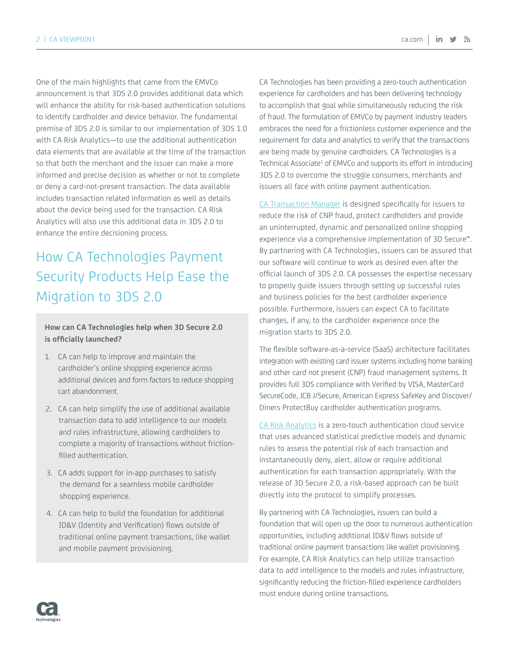One of the main highlights that came from the EMVCo announcement is that 3DS 2.0 provides additional data which will enhance the ability for risk-based authentication solutions to identify cardholder and device behavior. The fundamental premise of 3DS 2.0 is similar to our implementation of 3DS 1.0 with CA Risk Analytics—to use the additional authentication data elements that are available at the time of the transaction so that both the merchant and the issuer can make a more informed and precise decision as whether or not to complete or deny a card-not-present transaction. The data available includes transaction related information as well as details about the device being used for the transaction. CA Risk Analytics will also use this additional data in 3DS 2.0 to enhance the entire decisioning process.

# How CA Technologies Payment Security Products Help Ease the Migration to 3DS 2.0

### **How can CA Technologies help when 3D Secure 2.0 is officially launched?**

- 1. CA can help to improve and maintain the cardholder's online shopping experience across additional devices and form factors to reduce shopping cart abandonment.
- 2. CA can help simplify the use of additional available transaction data to add intelligence to our models and rules infrastructure, allowing cardholders to complete a majority of transactions without frictionfilled authentication.
- 3. CA adds support for in-app purchases to satisfy the demand for a seamless mobile cardholder shopping experience.
- 4. CA can help to build the foundation for additional ID&V (Identity and Verification) flows outside of traditional online payment transactions, like wallet and mobile payment provisioning.

CA Technologies has been providing a zero-touch authentication experience for cardholders and has been delivering technology to accomplish that goal while simultaneously reducing the risk of fraud. The formulation of EMVCo by payment industry leaders embraces the need for a frictionless customer experience and the requirement for data and analytics to verify that the transactions are being made by genuine cardholders. CA Technologies is a Technical Associate<sup>1</sup> of EMVCo and supports its effort in introducing 3DS 2.0 to overcome the struggle consumers, merchants and issuers all face with online payment authentication.

[CA Transaction Manager](http://www.ca.com/us/products/ca-transaction-manager.html ) is designed specifically for issuers to reduce the risk of CNP fraud, protect cardholders and provide an uninterrupted, dynamic and personalized online shopping experience via a comprehensive implementation of 3D Secure™. By partnering with CA Technologies, issuers can be assured that our software will continue to work as desired even after the official launch of 3DS 2.0. CA possesses the expertise necessary to properly guide issuers through setting up successful rules and business policies for the best cardholder experience possible. Furthermore, issuers can expect CA to facilitate changes, if any, to the cardholder experience once the migration starts to 3DS 2.0.

The flexible software-as-a-service (SaaS) architecture facilitates integration with existing card issuer systems including home banking and other card not present (CNP) fraud management systems. It provides full 3DS compliance with Verified by VISA, MasterCard SecureCode, JCB J/Secure, American Express SafeKey and Discover/ Diners ProtectBuy cardholder authentication programs.

[CA Risk Analytics]( http://www.ca.com/us/products/ca-risk-analytics.html) is a zero-touch authentication cloud service that uses advanced statistical predictive models and dynamic rules to assess the potential risk of each transaction and instantaneously deny, alert, allow or require additional authentication for each transaction appropriately. With the release of 3D Secure 2.0, a risk-based approach can be built directly into the protocol to simplify processes.

By partnering with CA Technologies, issuers can build a foundation that will open up the door to numerous authentication opportunities, including additional ID&V flows outside of traditional online payment transactions like wallet provisioning. For example, CA Risk Analytics can help utilize transaction data to add intelligence to the models and rules infrastructure, significantly reducing the friction-filled experience cardholders must endure during online transactions.